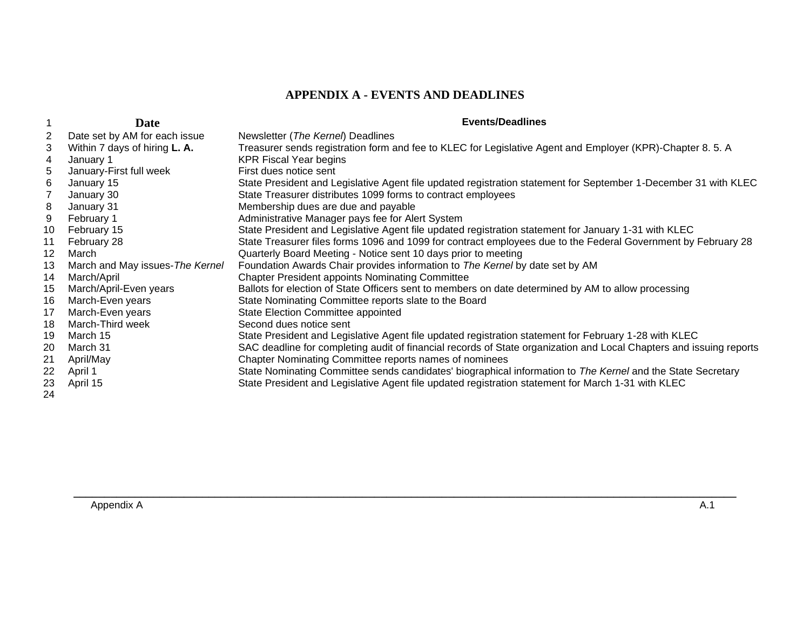## **APPENDIX A - EVENTS AND DEADLINES**

|                   | Date                            | <b>Events/Deadlines</b>                                                                                             |
|-------------------|---------------------------------|---------------------------------------------------------------------------------------------------------------------|
|                   | Date set by AM for each issue   | Newsletter (The Kernel) Deadlines                                                                                   |
| 3                 | Within 7 days of hiring L. A.   | Treasurer sends registration form and fee to KLEC for Legislative Agent and Employer (KPR)-Chapter 8. 5. A          |
| 4                 | January 1                       | <b>KPR Fiscal Year begins</b>                                                                                       |
| 5                 | January-First full week         | First dues notice sent                                                                                              |
| 6                 | January 15                      | State President and Legislative Agent file updated registration statement for September 1-December 31 with KLEC     |
|                   | January 30                      | State Treasurer distributes 1099 forms to contract employees                                                        |
| 8                 | January 31                      | Membership dues are due and payable                                                                                 |
| 9                 | February 1                      | Administrative Manager pays fee for Alert System                                                                    |
| 10                | February 15                     | State President and Legislative Agent file updated registration statement for January 1-31 with KLEC                |
| 11                | February 28                     | State Treasurer files forms 1096 and 1099 for contract employees due to the Federal Government by February 28       |
| $12 \overline{ }$ | March                           | Quarterly Board Meeting - Notice sent 10 days prior to meeting                                                      |
| 13                | March and May issues-The Kernel | Foundation Awards Chair provides information to The Kernel by date set by AM                                        |
| 14                | March/April                     | <b>Chapter President appoints Nominating Committee</b>                                                              |
| 15                | March/April-Even years          | Ballots for election of State Officers sent to members on date determined by AM to allow processing                 |
| 16                | March-Even years                | State Nominating Committee reports slate to the Board                                                               |
| 17                | March-Even years                | State Election Committee appointed                                                                                  |
| 18                | March-Third week                | Second dues notice sent                                                                                             |
| 19                | March 15                        | State President and Legislative Agent file updated registration statement for February 1-28 with KLEC               |
| 20                | March 31                        | SAC deadline for completing audit of financial records of State organization and Local Chapters and issuing reports |
| 21                | April/May                       | Chapter Nominating Committee reports names of nominees                                                              |
| 22                | April 1                         | State Nominating Committee sends candidates' biographical information to The Kernel and the State Secretary         |
| 23<br>24          | April 15                        | State President and Legislative Agent file updated registration statement for March 1-31 with KLEC                  |

**\_\_\_\_\_\_\_\_\_\_\_\_\_\_\_\_\_\_\_\_\_\_\_\_\_\_\_\_\_\_\_\_\_\_\_\_\_\_\_\_\_\_\_\_\_\_\_\_\_\_\_\_\_\_\_\_\_\_\_\_\_\_\_\_\_\_\_\_\_\_\_\_\_\_\_\_\_\_\_\_\_\_\_\_\_\_\_\_\_\_\_\_\_\_\_\_\_\_\_\_\_\_\_\_\_\_\_\_**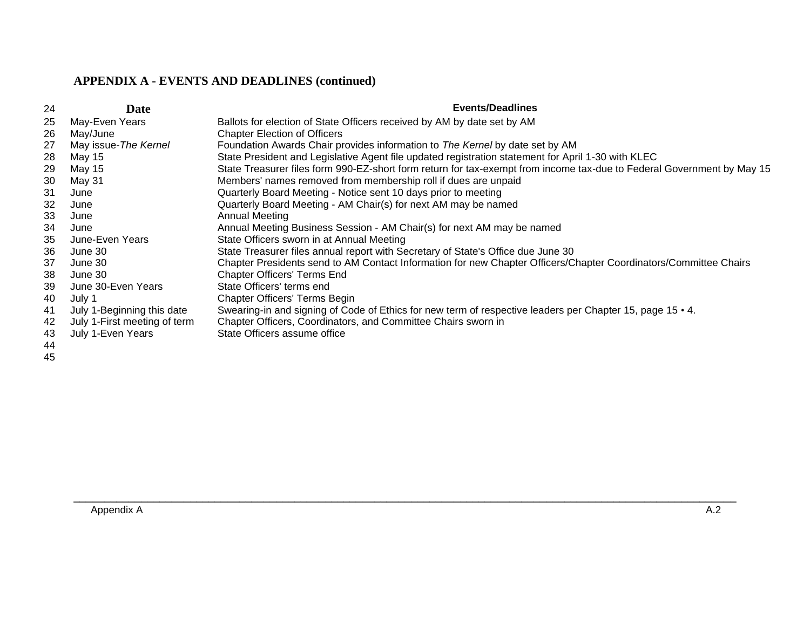## **APPENDIX A - EVENTS AND DEADLINES (continued)**

| 24 | Date                         | <b>Events/Deadlines</b>                                                                                                |
|----|------------------------------|------------------------------------------------------------------------------------------------------------------------|
| 25 | May-Even Years               | Ballots for election of State Officers received by AM by date set by AM                                                |
| 26 | May/June                     | <b>Chapter Election of Officers</b>                                                                                    |
| 27 | May issue-The Kernel         | Foundation Awards Chair provides information to The Kernel by date set by AM                                           |
| 28 | May 15                       | State President and Legislative Agent file updated registration statement for April 1-30 with KLEC                     |
| 29 | May 15                       | State Treasurer files form 990-EZ-short form return for tax-exempt from income tax-due to Federal Government by May 15 |
| 30 | May 31                       | Members' names removed from membership roll if dues are unpaid                                                         |
| 31 | June                         | Quarterly Board Meeting - Notice sent 10 days prior to meeting                                                         |
| 32 | June                         | Quarterly Board Meeting - AM Chair(s) for next AM may be named                                                         |
| 33 | June                         | <b>Annual Meeting</b>                                                                                                  |
| 34 | June                         | Annual Meeting Business Session - AM Chair(s) for next AM may be named                                                 |
| 35 | June-Even Years              | State Officers sworn in at Annual Meeting                                                                              |
| 36 | June 30                      | State Treasurer files annual report with Secretary of State's Office due June 30                                       |
| 37 | June 30                      | Chapter Presidents send to AM Contact Information for new Chapter Officers/Chapter Coordinators/Committee Chairs       |
| 38 | June 30                      | <b>Chapter Officers' Terms End</b>                                                                                     |
| 39 | June 30-Even Years           | State Officers' terms end                                                                                              |
| 40 | July 1                       | <b>Chapter Officers' Terms Begin</b>                                                                                   |
| 41 | July 1-Beginning this date   | Swearing-in and signing of Code of Ethics for new term of respective leaders per Chapter 15, page 15 $\cdot$ 4.        |
| 42 | July 1-First meeting of term | Chapter Officers, Coordinators, and Committee Chairs sworn in                                                          |
| 43 | July 1-Even Years            | State Officers assume office                                                                                           |
| 44 |                              |                                                                                                                        |
| 45 |                              |                                                                                                                        |

**\_\_\_\_\_\_\_\_\_\_\_\_\_\_\_\_\_\_\_\_\_\_\_\_\_\_\_\_\_\_\_\_\_\_\_\_\_\_\_\_\_\_\_\_\_\_\_\_\_\_\_\_\_\_\_\_\_\_\_\_\_\_\_\_\_\_\_\_\_\_\_\_\_\_\_\_\_\_\_\_\_\_\_\_\_\_\_\_\_\_\_\_\_\_\_\_\_\_\_\_\_\_\_\_\_\_\_\_**